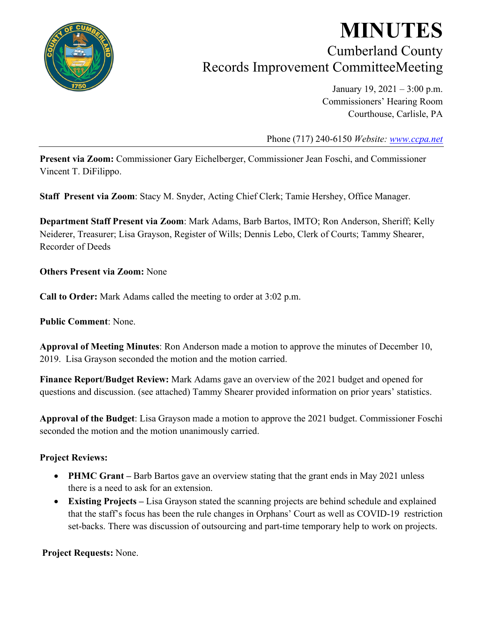

## **MINUTES** Cumberland County Records Improvement CommitteeMeeting

January 19, 2021 – 3:00 p.m. Commissioners' Hearing Room Courthouse, Carlisle, PA

Phone (717) 240-6150 *Website: [www.ccpa.net](http://www.ccpa.net/)*

**Present via Zoom:** Commissioner Gary Eichelberger, Commissioner Jean Foschi, and Commissioner Vincent T. DiFilippo.

**Staff Present via Zoom**: Stacy M. Snyder, Acting Chief Clerk; Tamie Hershey, Office Manager.

**Department Staff Present via Zoom**: Mark Adams, Barb Bartos, IMTO; Ron Anderson, Sheriff; Kelly Neiderer, Treasurer; Lisa Grayson, Register of Wills; Dennis Lebo, Clerk of Courts; Tammy Shearer, Recorder of Deeds

**Others Present via Zoom:** None

**Call to Order:** Mark Adams called the meeting to order at 3:02 p.m.

**Public Comment**: None.

**Approval of Meeting Minutes**: Ron Anderson made a motion to approve the minutes of December 10, 2019. Lisa Grayson seconded the motion and the motion carried.

**Finance Report/Budget Review:** Mark Adams gave an overview of the 2021 budget and opened for questions and discussion. (see attached) Tammy Shearer provided information on prior years' statistics.

**Approval of the Budget**: Lisa Grayson made a motion to approve the 2021 budget. Commissioner Foschi seconded the motion and the motion unanimously carried.

## **Project Reviews:**

- **PHMC Grant** Barb Bartos gave an overview stating that the grant ends in May 2021 unless there is a need to ask for an extension.
- **Existing Projects –** Lisa Grayson stated the scanning projects are behind schedule and explained that the staff's focus has been the rule changes in Orphans' Court as well as COVID-19 restriction set-backs. There was discussion of outsourcing and part-time temporary help to work on projects.

**Project Requests:** None.